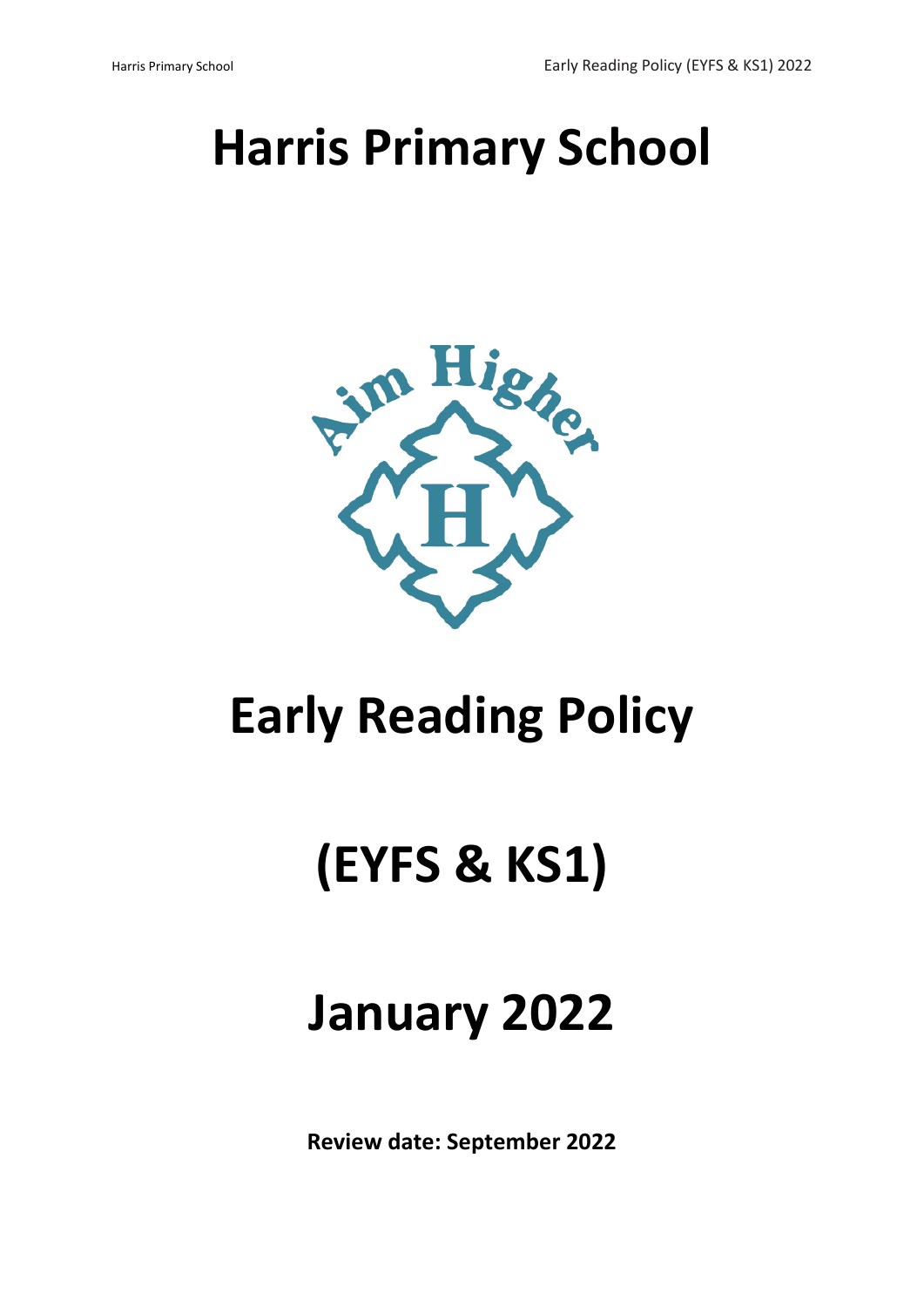# **Harris Primary School**



# **Early Reading Policy**

# **(EYFS & KS1)**

# **January 2022**

**Review date: September 2022**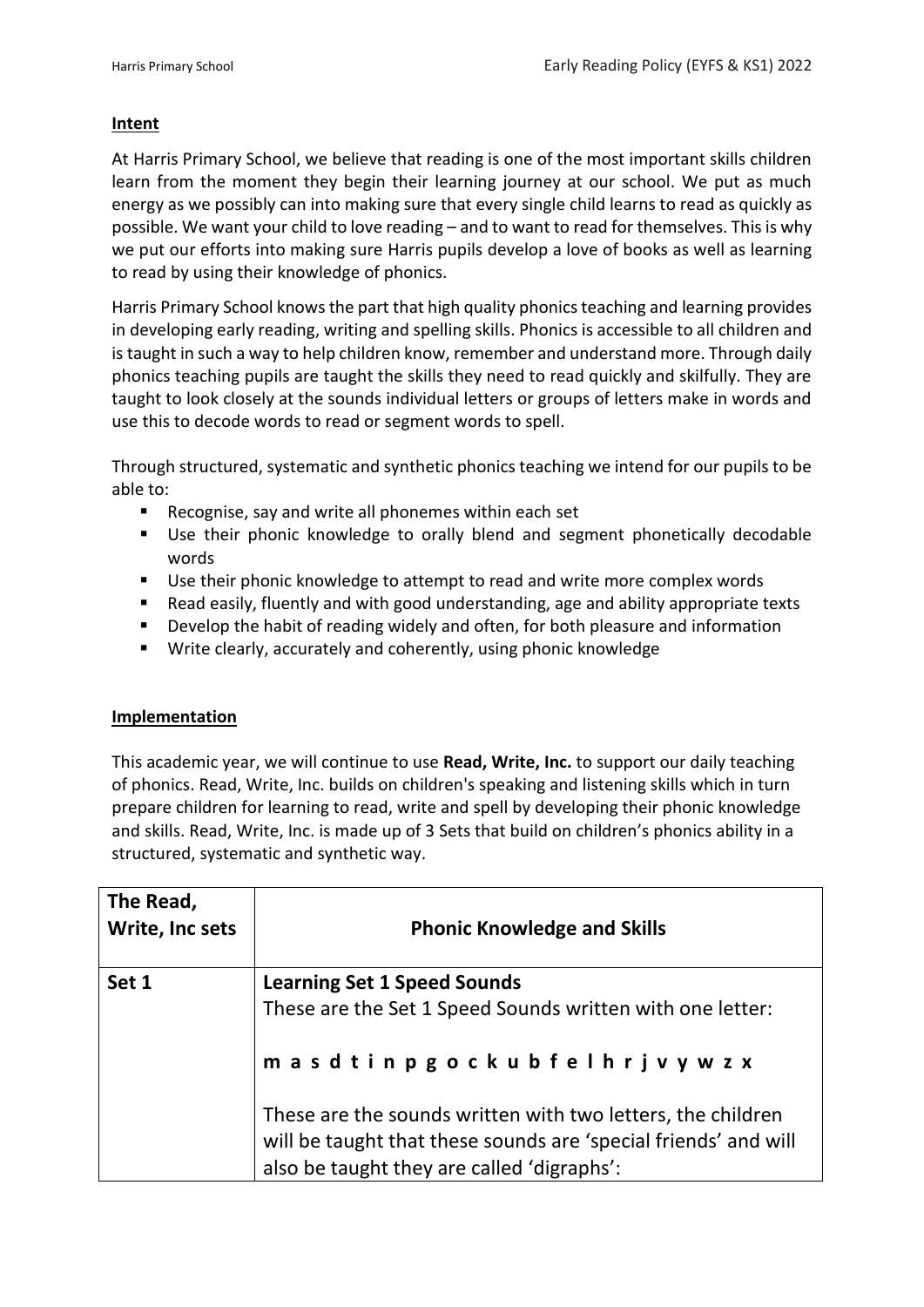## **Intent**

At Harris Primary School, we believe that reading is one of the most important skills children learn from the moment they begin their learning journey at our school. We put as much energy as we possibly can into making sure that every single child learns to read as quickly as possible. We want your child to love reading – and to want to read for themselves. This is why we put our efforts into making sure Harris pupils develop a love of books as well as learning to read by using their knowledge of phonics.

Harris Primary School knows the part that high quality phonics teaching and learning provides in developing early reading, writing and spelling skills. Phonics is accessible to all children and is taught in such a way to help children know, remember and understand more. Through daily phonics teaching pupils are taught the skills they need to read quickly and skilfully. They are taught to look closely at the sounds individual letters or groups of letters make in words and use this to decode words to read or segment words to spell.

Through structured, systematic and synthetic phonics teaching we intend for our pupils to be able to:

- Recognise, say and write all phonemes within each set
- Use their phonic knowledge to orally blend and segment phonetically decodable words
- Use their phonic knowledge to attempt to read and write more complex words
- Read easily, fluently and with good understanding, age and ability appropriate texts
- Develop the habit of reading widely and often, for both pleasure and information
- Write clearly, accurately and coherently, using phonic knowledge

## **Implementation**

This academic year, we will continue to use **Read, Write, Inc.** to support our daily teaching of phonics. Read, Write, Inc. builds on children's speaking and listening skills which in turn prepare children for learning to read, write and spell by developing their phonic knowledge and skills. Read, Write, Inc. is made up of 3 Sets that build on children's phonics ability in a structured, systematic and synthetic way.

| The Read,<br>Write, Inc sets | <b>Phonic Knowledge and Skills</b>                                                                                                                                           |
|------------------------------|------------------------------------------------------------------------------------------------------------------------------------------------------------------------------|
| Set 1                        | <b>Learning Set 1 Speed Sounds</b>                                                                                                                                           |
|                              | These are the Set 1 Speed Sounds written with one letter:                                                                                                                    |
|                              | masdtinpgockubfelhrjvywzx                                                                                                                                                    |
|                              | These are the sounds written with two letters, the children<br>will be taught that these sounds are 'special friends' and will<br>also be taught they are called 'digraphs': |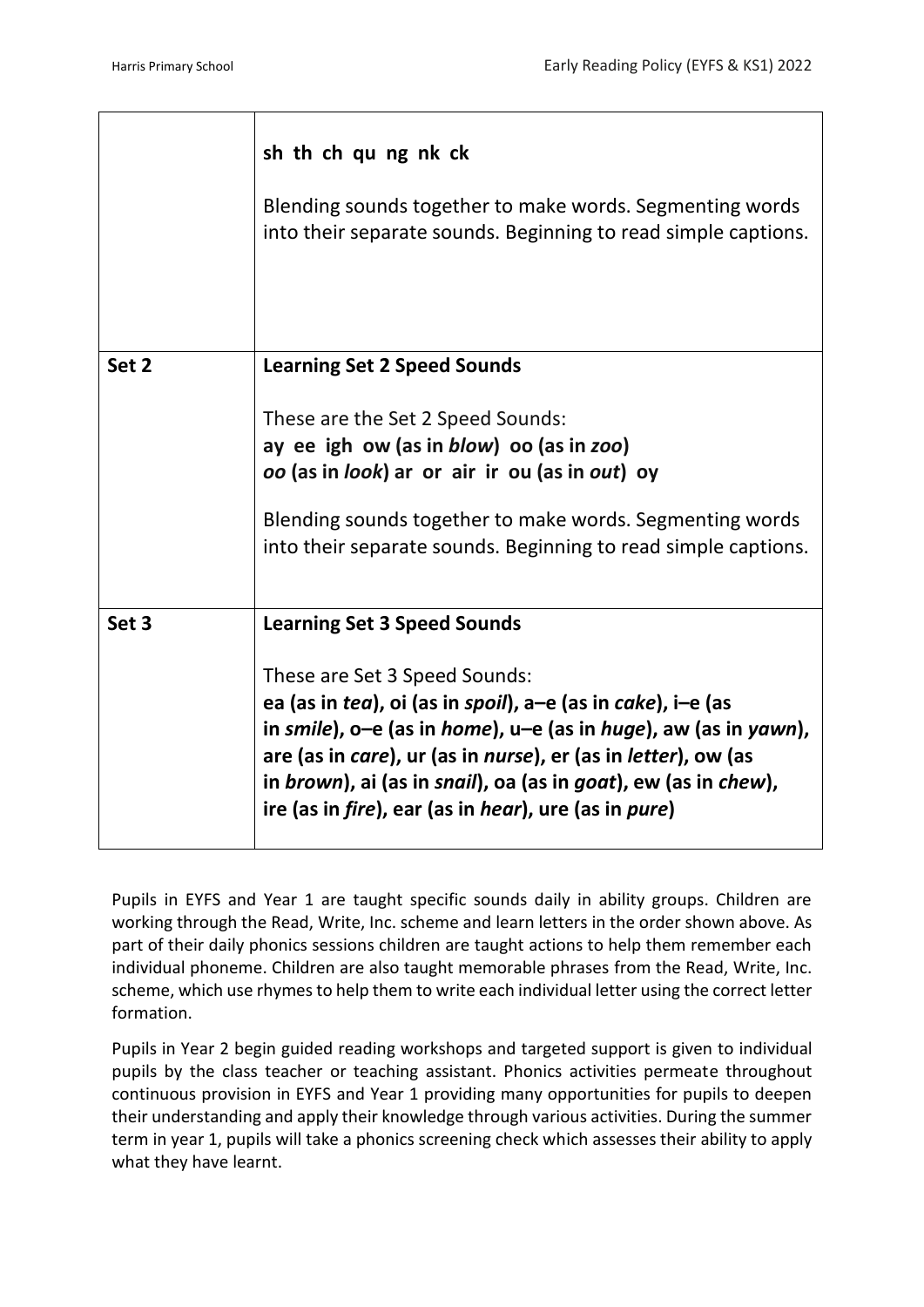|       | sh th ch qu ng nk ck<br>Blending sounds together to make words. Segmenting words<br>into their separate sounds. Beginning to read simple captions. |
|-------|----------------------------------------------------------------------------------------------------------------------------------------------------|
| Set 2 | <b>Learning Set 2 Speed Sounds</b>                                                                                                                 |
|       | These are the Set 2 Speed Sounds:                                                                                                                  |
|       | ay ee igh ow (as in blow) oo (as in zoo)                                                                                                           |
|       | oo (as in look) ar or air ir ou (as in out) oy                                                                                                     |
|       | Blending sounds together to make words. Segmenting words                                                                                           |
|       | into their separate sounds. Beginning to read simple captions.                                                                                     |
|       |                                                                                                                                                    |
| Set 3 | <b>Learning Set 3 Speed Sounds</b>                                                                                                                 |
|       | These are Set 3 Speed Sounds:                                                                                                                      |
|       | ea (as in tea), oi (as in spoil), a-e (as in cake), i-e (as                                                                                        |
|       | in smile), o-e (as in home), $u-e$ (as in huge), aw (as in yawn),<br>are (as in care), ur (as in nurse), er (as in letter), ow (as                 |
|       | in brown), ai (as in snail), oa (as in goat), ew (as in chew),                                                                                     |
|       | ire (as in <i>fire</i> ), ear (as in <i>hear</i> ), ure (as in <i>pure</i> )                                                                       |
|       |                                                                                                                                                    |

Pupils in EYFS and Year 1 are taught specific sounds daily in ability groups. Children are working through the Read, Write, Inc. scheme and learn letters in the order shown above. As part of their daily phonics sessions children are taught actions to help them remember each individual phoneme. Children are also taught memorable phrases from the Read, Write, Inc. scheme, which use rhymes to help them to write each individual letter using the correct letter formation.

Pupils in Year 2 begin guided reading workshops and targeted support is given to individual pupils by the class teacher or teaching assistant. Phonics activities permeate throughout continuous provision in EYFS and Year 1 providing many opportunities for pupils to deepen their understanding and apply their knowledge through various activities. During the summer term in year 1, pupils will take a phonics screening check which assesses their ability to apply what they have learnt.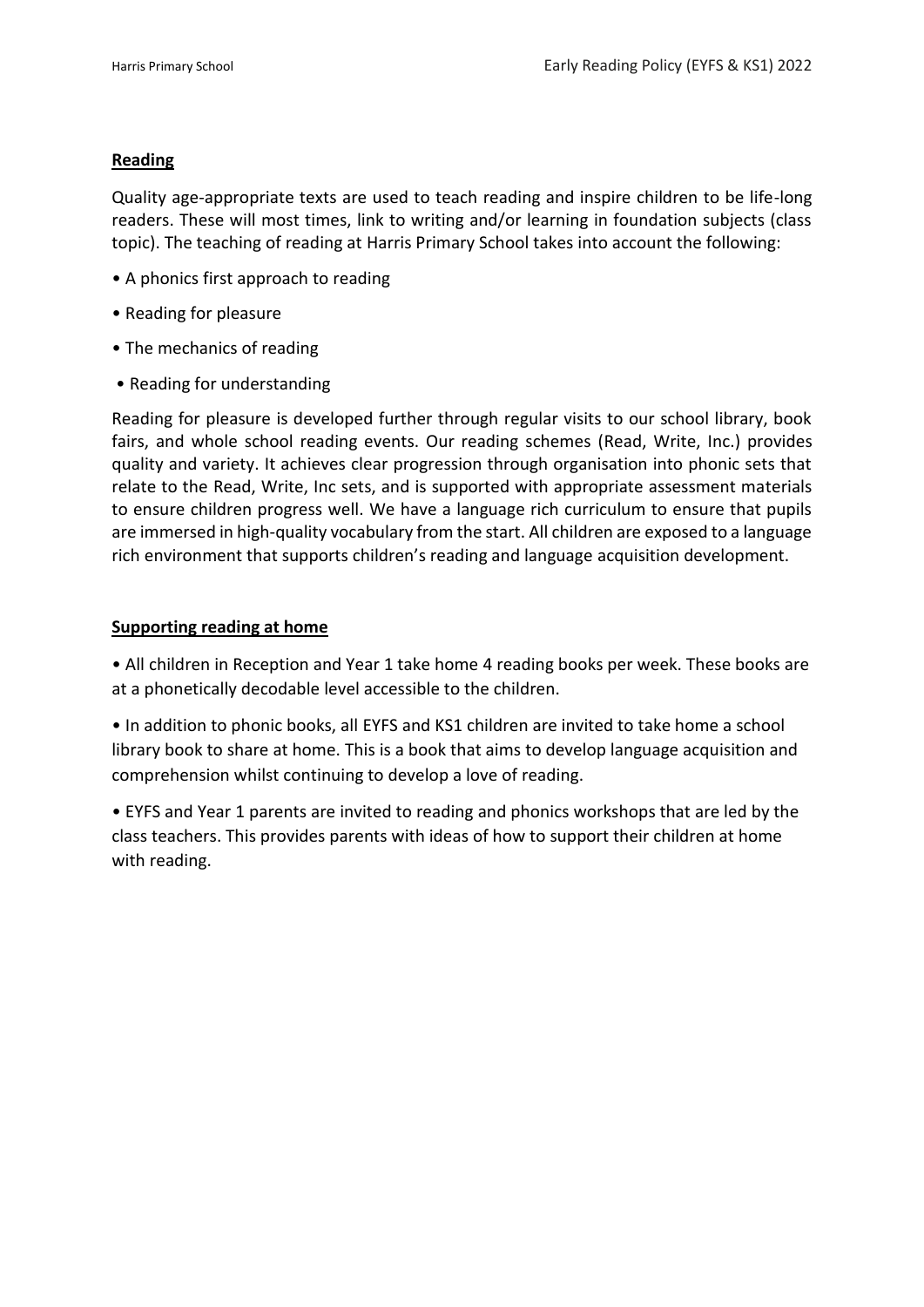## **Reading**

Quality age-appropriate texts are used to teach reading and inspire children to be life-long readers. These will most times, link to writing and/or learning in foundation subjects (class topic). The teaching of reading at Harris Primary School takes into account the following:

- A phonics first approach to reading
- Reading for pleasure
- The mechanics of reading
- Reading for understanding

Reading for pleasure is developed further through regular visits to our school library, book fairs, and whole school reading events. Our reading schemes (Read, Write, Inc.) provides quality and variety. It achieves clear progression through organisation into phonic sets that relate to the Read, Write, Inc sets, and is supported with appropriate assessment materials to ensure children progress well. We have a language rich curriculum to ensure that pupils are immersed in high-quality vocabulary from the start. All children are exposed to a language rich environment that supports children's reading and language acquisition development.

#### **Supporting reading at home**

• All children in Reception and Year 1 take home 4 reading books per week. These books are at a phonetically decodable level accessible to the children.

• In addition to phonic books, all EYFS and KS1 children are invited to take home a school library book to share at home. This is a book that aims to develop language acquisition and comprehension whilst continuing to develop a love of reading.

• EYFS and Year 1 parents are invited to reading and phonics workshops that are led by the class teachers. This provides parents with ideas of how to support their children at home with reading.